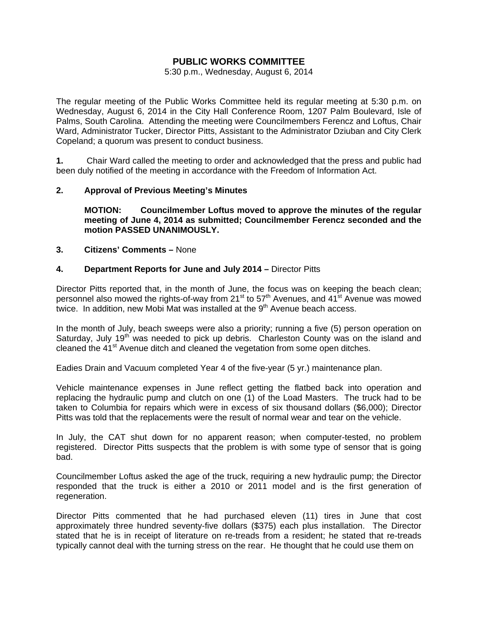# **PUBLIC WORKS COMMITTEE**

5:30 p.m., Wednesday, August 6, 2014

The regular meeting of the Public Works Committee held its regular meeting at 5:30 p.m. on Wednesday, August 6, 2014 in the City Hall Conference Room, 1207 Palm Boulevard, Isle of Palms, South Carolina. Attending the meeting were Councilmembers Ferencz and Loftus, Chair Ward, Administrator Tucker, Director Pitts, Assistant to the Administrator Dziuban and City Clerk Copeland; a quorum was present to conduct business.

**1.** Chair Ward called the meeting to order and acknowledged that the press and public had been duly notified of the meeting in accordance with the Freedom of Information Act.

## **2. Approval of Previous Meeting's Minutes**

 **MOTION: Councilmember Loftus moved to approve the minutes of the regular meeting of June 4, 2014 as submitted; Councilmember Ferencz seconded and the motion PASSED UNANIMOUSLY.** 

#### **3. Citizens' Comments –** None

#### **4. Department Reports for June and July 2014 –** Director Pitts

Director Pitts reported that, in the month of June, the focus was on keeping the beach clean; personnel also mowed the rights-of-way from 21<sup>st</sup> to 57<sup>th</sup> Avenues, and 41<sup>st</sup> Avenue was mowed twice. In addition, new Mobi Mat was installed at the  $9<sup>th</sup>$  Avenue beach access.

In the month of July, beach sweeps were also a priority; running a five (5) person operation on Saturday, July 19<sup>th</sup> was needed to pick up debris. Charleston County was on the island and cleaned the 41<sup>st</sup> Avenue ditch and cleaned the vegetation from some open ditches.

Eadies Drain and Vacuum completed Year 4 of the five-year (5 yr.) maintenance plan.

Vehicle maintenance expenses in June reflect getting the flatbed back into operation and replacing the hydraulic pump and clutch on one (1) of the Load Masters. The truck had to be taken to Columbia for repairs which were in excess of six thousand dollars (\$6,000); Director Pitts was told that the replacements were the result of normal wear and tear on the vehicle.

In July, the CAT shut down for no apparent reason; when computer-tested, no problem registered. Director Pitts suspects that the problem is with some type of sensor that is going bad.

Councilmember Loftus asked the age of the truck, requiring a new hydraulic pump; the Director responded that the truck is either a 2010 or 2011 model and is the first generation of regeneration.

Director Pitts commented that he had purchased eleven (11) tires in June that cost approximately three hundred seventy-five dollars (\$375) each plus installation. The Director stated that he is in receipt of literature on re-treads from a resident; he stated that re-treads typically cannot deal with the turning stress on the rear. He thought that he could use them on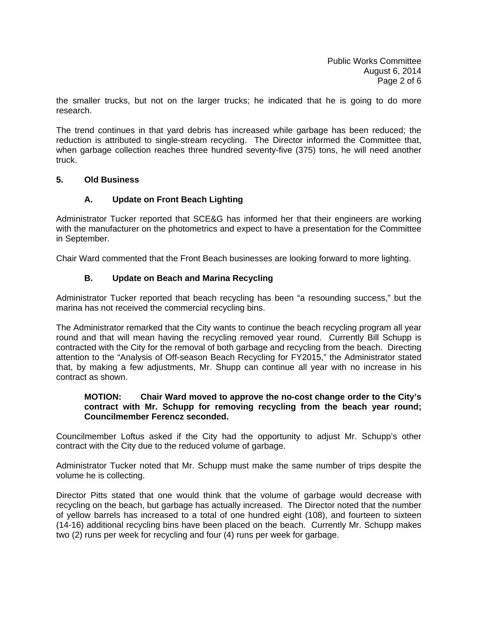the smaller trucks, but not on the larger trucks; he indicated that he is going to do more research.

The trend continues in that yard debris has increased while garbage has been reduced; the reduction is attributed to single-stream recycling. The Director informed the Committee that, when garbage collection reaches three hundred seventy-five (375) tons, he will need another truck.

## **5. Old Business**

# **A. Update on Front Beach Lighting**

Administrator Tucker reported that SCE&G has informed her that their engineers are working with the manufacturer on the photometrics and expect to have a presentation for the Committee in September.

Chair Ward commented that the Front Beach businesses are looking forward to more lighting.

# **B. Update on Beach and Marina Recycling**

Administrator Tucker reported that beach recycling has been "a resounding success," but the marina has not received the commercial recycling bins.

The Administrator remarked that the City wants to continue the beach recycling program all year round and that will mean having the recycling removed year round. Currently Bill Schupp is contracted with the City for the removal of both garbage and recycling from the beach. Directing attention to the "Analysis of Off-season Beach Recycling for FY2015," the Administrator stated that, by making a few adjustments, Mr. Shupp can continue all year with no increase in his contract as shown.

#### **MOTION: Chair Ward moved to approve the no-cost change order to the City's contract with Mr. Schupp for removing recycling from the beach year round; Councilmember Ferencz seconded.**

Councilmember Loftus asked if the City had the opportunity to adjust Mr. Schupp's other contract with the City due to the reduced volume of garbage.

Administrator Tucker noted that Mr. Schupp must make the same number of trips despite the volume he is collecting.

Director Pitts stated that one would think that the volume of garbage would decrease with recycling on the beach, but garbage has actually increased. The Director noted that the number of yellow barrels has increased to a total of one hundred eight (108), and fourteen to sixteen (14-16) additional recycling bins have been placed on the beach. Currently Mr. Schupp makes two (2) runs per week for recycling and four (4) runs per week for garbage.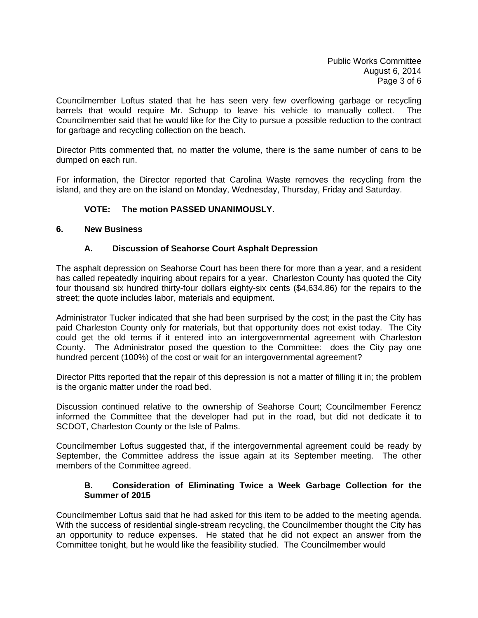Councilmember Loftus stated that he has seen very few overflowing garbage or recycling barrels that would require Mr. Schupp to leave his vehicle to manually collect. The Councilmember said that he would like for the City to pursue a possible reduction to the contract for garbage and recycling collection on the beach.

Director Pitts commented that, no matter the volume, there is the same number of cans to be dumped on each run.

For information, the Director reported that Carolina Waste removes the recycling from the island, and they are on the island on Monday, Wednesday, Thursday, Friday and Saturday.

# **VOTE: The motion PASSED UNANIMOUSLY.**

## **6. New Business**

# **A. Discussion of Seahorse Court Asphalt Depression**

The asphalt depression on Seahorse Court has been there for more than a year, and a resident has called repeatedly inquiring about repairs for a year. Charleston County has quoted the City four thousand six hundred thirty-four dollars eighty-six cents (\$4,634.86) for the repairs to the street; the quote includes labor, materials and equipment.

Administrator Tucker indicated that she had been surprised by the cost; in the past the City has paid Charleston County only for materials, but that opportunity does not exist today. The City could get the old terms if it entered into an intergovernmental agreement with Charleston County. The Administrator posed the question to the Committee: does the City pay one hundred percent (100%) of the cost or wait for an intergovernmental agreement?

Director Pitts reported that the repair of this depression is not a matter of filling it in; the problem is the organic matter under the road bed.

Discussion continued relative to the ownership of Seahorse Court; Councilmember Ferencz informed the Committee that the developer had put in the road, but did not dedicate it to SCDOT, Charleston County or the Isle of Palms.

Councilmember Loftus suggested that, if the intergovernmental agreement could be ready by September, the Committee address the issue again at its September meeting. The other members of the Committee agreed.

## **B. Consideration of Eliminating Twice a Week Garbage Collection for the Summer of 2015**

Councilmember Loftus said that he had asked for this item to be added to the meeting agenda. With the success of residential single-stream recycling, the Councilmember thought the City has an opportunity to reduce expenses. He stated that he did not expect an answer from the Committee tonight, but he would like the feasibility studied. The Councilmember would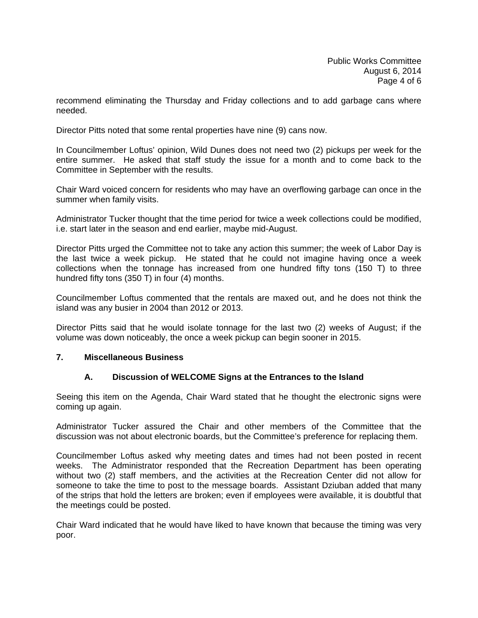recommend eliminating the Thursday and Friday collections and to add garbage cans where needed.

Director Pitts noted that some rental properties have nine (9) cans now.

In Councilmember Loftus' opinion, Wild Dunes does not need two (2) pickups per week for the entire summer. He asked that staff study the issue for a month and to come back to the Committee in September with the results.

Chair Ward voiced concern for residents who may have an overflowing garbage can once in the summer when family visits.

Administrator Tucker thought that the time period for twice a week collections could be modified, i.e. start later in the season and end earlier, maybe mid-August.

Director Pitts urged the Committee not to take any action this summer; the week of Labor Day is the last twice a week pickup. He stated that he could not imagine having once a week collections when the tonnage has increased from one hundred fifty tons (150 T) to three hundred fifty tons (350 T) in four (4) months.

Councilmember Loftus commented that the rentals are maxed out, and he does not think the island was any busier in 2004 than 2012 or 2013.

Director Pitts said that he would isolate tonnage for the last two (2) weeks of August; if the volume was down noticeably, the once a week pickup can begin sooner in 2015.

#### **7. Miscellaneous Business**

# **A. Discussion of WELCOME Signs at the Entrances to the Island**

Seeing this item on the Agenda, Chair Ward stated that he thought the electronic signs were coming up again.

Administrator Tucker assured the Chair and other members of the Committee that the discussion was not about electronic boards, but the Committee's preference for replacing them.

Councilmember Loftus asked why meeting dates and times had not been posted in recent weeks. The Administrator responded that the Recreation Department has been operating without two (2) staff members, and the activities at the Recreation Center did not allow for someone to take the time to post to the message boards. Assistant Dziuban added that many of the strips that hold the letters are broken; even if employees were available, it is doubtful that the meetings could be posted.

Chair Ward indicated that he would have liked to have known that because the timing was very poor.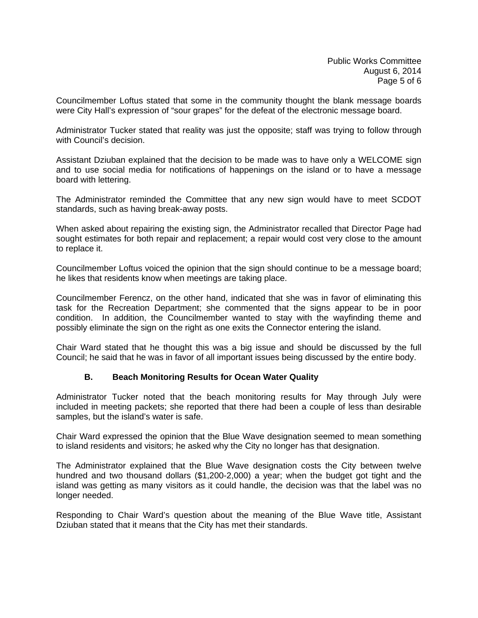Councilmember Loftus stated that some in the community thought the blank message boards were City Hall's expression of "sour grapes" for the defeat of the electronic message board.

Administrator Tucker stated that reality was just the opposite; staff was trying to follow through with Council's decision.

Assistant Dziuban explained that the decision to be made was to have only a WELCOME sign and to use social media for notifications of happenings on the island or to have a message board with lettering.

The Administrator reminded the Committee that any new sign would have to meet SCDOT standards, such as having break-away posts.

When asked about repairing the existing sign, the Administrator recalled that Director Page had sought estimates for both repair and replacement; a repair would cost very close to the amount to replace it.

Councilmember Loftus voiced the opinion that the sign should continue to be a message board; he likes that residents know when meetings are taking place.

Councilmember Ferencz, on the other hand, indicated that she was in favor of eliminating this task for the Recreation Department; she commented that the signs appear to be in poor condition. In addition, the Councilmember wanted to stay with the wayfinding theme and possibly eliminate the sign on the right as one exits the Connector entering the island.

Chair Ward stated that he thought this was a big issue and should be discussed by the full Council; he said that he was in favor of all important issues being discussed by the entire body.

#### **B. Beach Monitoring Results for Ocean Water Quality**

Administrator Tucker noted that the beach monitoring results for May through July were included in meeting packets; she reported that there had been a couple of less than desirable samples, but the island's water is safe.

Chair Ward expressed the opinion that the Blue Wave designation seemed to mean something to island residents and visitors; he asked why the City no longer has that designation.

The Administrator explained that the Blue Wave designation costs the City between twelve hundred and two thousand dollars (\$1,200-2,000) a year; when the budget got tight and the island was getting as many visitors as it could handle, the decision was that the label was no longer needed.

Responding to Chair Ward's question about the meaning of the Blue Wave title, Assistant Dziuban stated that it means that the City has met their standards.